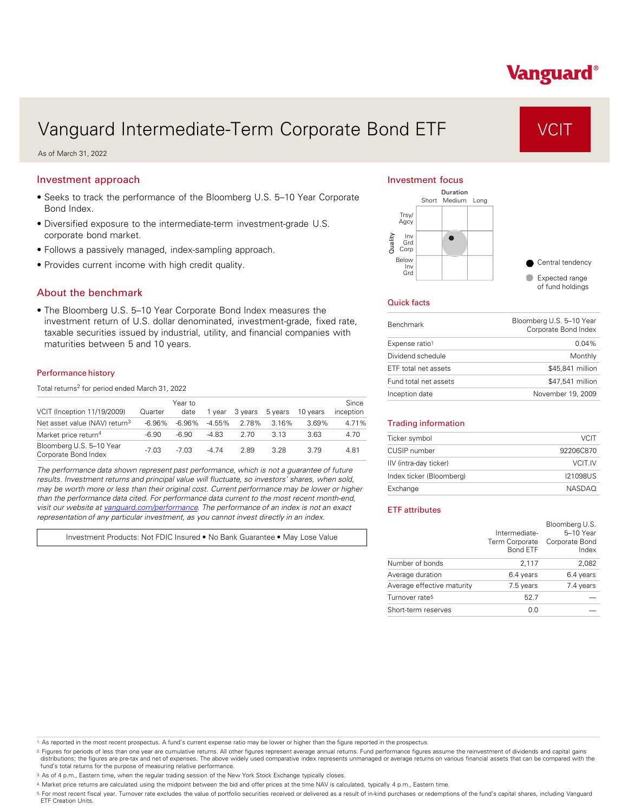# Vanguard Intermediate-Term Corporate Bond ETF VCIT

As of March 31, 2022

## Investment approach

- Seeks to track the performance of the Bloomberg U.S. 5–10 Year Corporate Bond Index.
- Diversified exposure to the intermediate-term investment-grade U.S. corporate bond market.
- Follows a passively managed, index-sampling approach.
- Provides current income with high credit quality.

### About the benchmark

• The Bloomberg U.S. 5–10 Year Corporate Bond Index measures the investment return of U.S. dollar denominated, investment-grade, fixed rate, taxable securities issued by industrial, utility, and financial companies with maturities between 5 and 10 years.

#### Performance history

Total returns<sup>2</sup> for period ended March 31, 2022

| VCIT (Inception 11/19/2009)                      | Quarter   | Year to<br>date | 1 vear    | 3 vears | 5 years | 10 years | Since<br>inception |
|--------------------------------------------------|-----------|-----------------|-----------|---------|---------|----------|--------------------|
| Net asset value (NAV) return <sup>3</sup>        | $-6.96\%$ | $-6.96\%$       | $-4.55\%$ | 2.78%   | 3.16%   | 3.69%    | 4.71%              |
| Market price return <sup>4</sup>                 | -6.90     | -6.90           | $-4.83$   | 2.70    | 3.13    | 3.63     | 4.70               |
| Bloomberg U.S. 5-10 Year<br>Corporate Bond Index | $-7.03$   | $-7.03$         | $-474$    | 2.89    | 3.28    | 3.79     | 4.81               |

*The performance data shown represent past performance, which is not a guarantee of future results. Investment returns and principal value will fluctuate, so investors' shares, when sold, may be worth more or less than their original cost. Current performance may be lower or higher than the performance data cited. For performance data current to the most recent month-end, visit our website at [vanguard.com/performance .](http://www.vanguard.com/performance) The performance of an index is not an exact representation of any particular investment, as you cannot invest directly in an index.* 

Investment Products: Not FDIC Insured • No Bank Guarantee • May Lose Value

#### Investment focus



#### Quick facts

| <b>Benchmark</b>      | Bloomberg U.S. 5-10 Year<br>Corporate Bond Index |
|-----------------------|--------------------------------------------------|
| Expense ratio1        | $0.04\%$                                         |
| Dividend schedule     | Monthly                                          |
| ETF total net assets  | \$45,841 million                                 |
| Fund total net assets | \$47,541 million                                 |
| Inception date        | November 19, 2009                                |

#### Trading information

| Ticker symbol            | <b>VCIT</b>   |
|--------------------------|---------------|
| CUSIP number             | 92206C870     |
| IIV (intra-day ticker)   | VCIT IV       |
| Index ticker (Bloomberg) | 121098US      |
| Exchange                 | <b>NASDAO</b> |

#### ETF attributes

|                            | Intermediate-<br>Term Corporate<br><b>Bond ETF</b> | Bloomberg U.S.<br>5-10 Year<br>Corporate Bond<br>Index |
|----------------------------|----------------------------------------------------|--------------------------------------------------------|
| Number of bonds            | 2,117                                              | 2,082                                                  |
| Average duration           | 6.4 years                                          | 6.4 years                                              |
| Average effective maturity | 7.5 years                                          | 7.4 years                                              |
| Turnover rate <sup>5</sup> | 52.7                                               |                                                        |
| Short-term reserves        | 0.0                                                |                                                        |

1. As reported in the most recent prospectus. A fund's current expense ratio may be lower or higher than the figure reported in the prospectus.

2. Figures for periods of less than one year are cumulative returns. All other figures represent average annual returns. Fund performance figures assume the reinvestment of dividends and capital gains distributions; the figures are pre-tax and net of expenses. The above widely used comparative index represents unmanaged or average returns on various financial assets that can be compared with the<br>fund's total returns for

3. As of 4 p.m., Eastern time, when the regular trading session of the New York Stock Exchange typically closes.

4. Market price returns are calculated using the midpoint between the bid and offer prices at the time NAV is calculated, typically 4 p.m., Eastern time.

<sup>5.</sup> For most recent fiscal year. Turnover rate excludes the value of portfolio securities received or delivered as a result of in-kind purchases or redemptions of the fund's capital shares, including Vanguard<br>ETF Creation